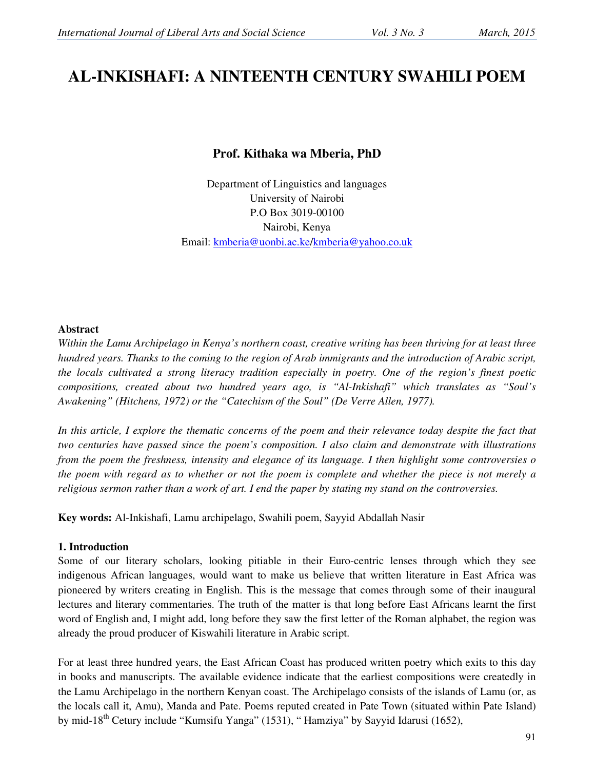# **AL-INKISHAFI: A NINTEENTH CENTURY SWAHILI POEM**

# **Prof. Kithaka wa Mberia, PhD**

Department of Linguistics and languages University of Nairobi P.O Box 3019-00100 Nairobi, Kenya Email: kmberia@uonbi.ac.ke/kmberia@yahoo.co.uk

#### **Abstract**

*Within the Lamu Archipelago in Kenya's northern coast, creative writing has been thriving for at least three hundred years. Thanks to the coming to the region of Arab immigrants and the introduction of Arabic script, the locals cultivated a strong literacy tradition especially in poetry. One of the region's finest poetic compositions, created about two hundred years ago, is "Al-Inkishafi" which translates as "Soul's Awakening" (Hitchens, 1972) or the "Catechism of the Soul" (De Verre Allen, 1977).* 

In this article, I explore the thematic concerns of the poem and their relevance today despite the fact that *two centuries have passed since the poem's composition. I also claim and demonstrate with illustrations from the poem the freshness, intensity and elegance of its language. I then highlight some controversies o the poem with regard as to whether or not the poem is complete and whether the piece is not merely a religious sermon rather than a work of art. I end the paper by stating my stand on the controversies.* 

**Key words:** Al-Inkishafi, Lamu archipelago, Swahili poem, Sayyid Abdallah Nasir

## **1. Introduction**

Some of our literary scholars, looking pitiable in their Euro-centric lenses through which they see indigenous African languages, would want to make us believe that written literature in East Africa was pioneered by writers creating in English. This is the message that comes through some of their inaugural lectures and literary commentaries. The truth of the matter is that long before East Africans learnt the first word of English and, I might add, long before they saw the first letter of the Roman alphabet, the region was already the proud producer of Kiswahili literature in Arabic script.

For at least three hundred years, the East African Coast has produced written poetry which exits to this day in books and manuscripts. The available evidence indicate that the earliest compositions were createdly in the Lamu Archipelago in the northern Kenyan coast. The Archipelago consists of the islands of Lamu (or, as the locals call it, Amu), Manda and Pate. Poems reputed created in Pate Town (situated within Pate Island) by mid-18<sup>th</sup> Cetury include "Kumsifu Yanga" (1531), "Hamziya" by Sayyid Idarusi (1652),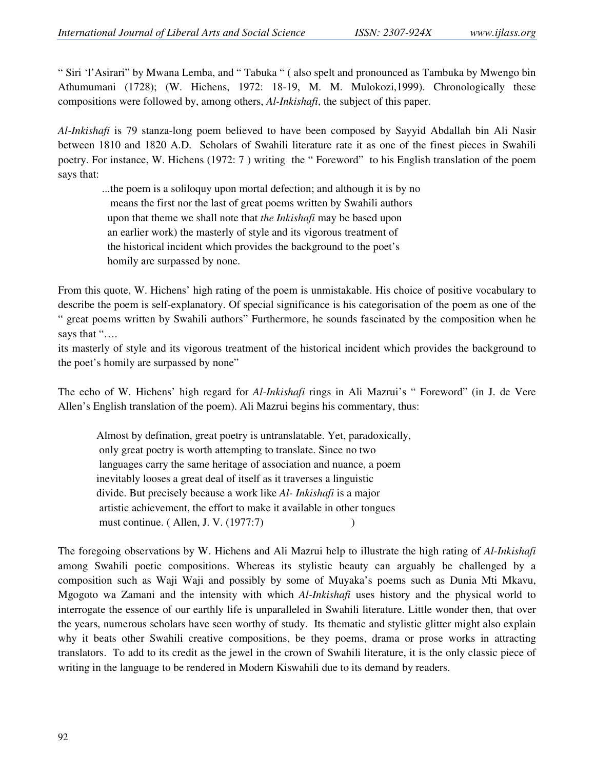" Siri 'l'Asirari" by Mwana Lemba, and " Tabuka " ( also spelt and pronounced as Tambuka by Mwengo bin Athumumani (1728); (W. Hichens, 1972: 18-19, M. M. Mulokozi,1999). Chronologically these compositions were followed by, among others, *Al-Inkishafi*, the subject of this paper.

*Al-Inkishafi* is 79 stanza-long poem believed to have been composed by Sayyid Abdallah bin Ali Nasir between 1810 and 1820 A.D. Scholars of Swahili literature rate it as one of the finest pieces in Swahili poetry. For instance, W. Hichens (1972: 7 ) writing the " Foreword" to his English translation of the poem says that:

 ...the poem is a soliloquy upon mortal defection; and although it is by no means the first nor the last of great poems written by Swahili authors upon that theme we shall note that *the Inkishafi* may be based upon an earlier work) the masterly of style and its vigorous treatment of the historical incident which provides the background to the poet's homily are surpassed by none.

From this quote, W. Hichens' high rating of the poem is unmistakable. His choice of positive vocabulary to describe the poem is self-explanatory. Of special significance is his categorisation of the poem as one of the " great poems written by Swahili authors" Furthermore, he sounds fascinated by the composition when he says that "….

its masterly of style and its vigorous treatment of the historical incident which provides the background to the poet's homily are surpassed by none"

The echo of W. Hichens' high regard for *Al-Inkishafi* rings in Ali Mazrui's " Foreword" (in J. de Vere Allen's English translation of the poem). Ali Mazrui begins his commentary, thus:

 Almost by defination, great poetry is untranslatable. Yet, paradoxically, only great poetry is worth attempting to translate. Since no two languages carry the same heritage of association and nuance, a poem inevitably looses a great deal of itself as it traverses a linguistic divide. But precisely because a work like *Al- Inkishafi* is a major artistic achievement, the effort to make it available in other tongues must continue. (Allen, J. V. (1977:7)  $\qquad \qquad$  )

The foregoing observations by W. Hichens and Ali Mazrui help to illustrate the high rating of *Al-Inkishafi* among Swahili poetic compositions. Whereas its stylistic beauty can arguably be challenged by a composition such as Waji Waji and possibly by some of Muyaka's poems such as Dunia Mti Mkavu, Mgogoto wa Zamani and the intensity with which *Al-Inkishafi* uses history and the physical world to interrogate the essence of our earthly life is unparalleled in Swahili literature. Little wonder then, that over the years, numerous scholars have seen worthy of study. Its thematic and stylistic glitter might also explain why it beats other Swahili creative compositions, be they poems, drama or prose works in attracting translators. To add to its credit as the jewel in the crown of Swahili literature, it is the only classic piece of writing in the language to be rendered in Modern Kiswahili due to its demand by readers.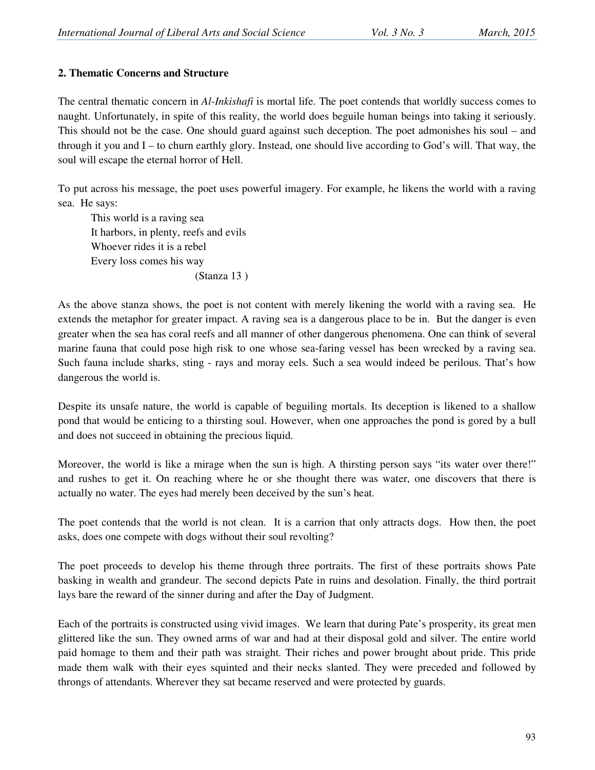#### **2. Thematic Concerns and Structure**

The central thematic concern in *Al-Inkishafi* is mortal life. The poet contends that worldly success comes to naught. Unfortunately, in spite of this reality, the world does beguile human beings into taking it seriously. This should not be the case. One should guard against such deception. The poet admonishes his soul – and through it you and I – to churn earthly glory. Instead, one should live according to God's will. That way, the soul will escape the eternal horror of Hell.

To put across his message, the poet uses powerful imagery. For example, he likens the world with a raving sea. He says:

 This world is a raving sea It harbors, in plenty, reefs and evils Whoever rides it is a rebel Every loss comes his way (Stanza 13 )

As the above stanza shows, the poet is not content with merely likening the world with a raving sea. He extends the metaphor for greater impact. A raving sea is a dangerous place to be in. But the danger is even greater when the sea has coral reefs and all manner of other dangerous phenomena. One can think of several marine fauna that could pose high risk to one whose sea-faring vessel has been wrecked by a raving sea. Such fauna include sharks, sting - rays and moray eels. Such a sea would indeed be perilous. That's how dangerous the world is.

Despite its unsafe nature, the world is capable of beguiling mortals. Its deception is likened to a shallow pond that would be enticing to a thirsting soul. However, when one approaches the pond is gored by a bull and does not succeed in obtaining the precious liquid.

Moreover, the world is like a mirage when the sun is high. A thirsting person says "its water over there!" and rushes to get it. On reaching where he or she thought there was water, one discovers that there is actually no water. The eyes had merely been deceived by the sun's heat.

The poet contends that the world is not clean. It is a carrion that only attracts dogs. How then, the poet asks, does one compete with dogs without their soul revolting?

The poet proceeds to develop his theme through three portraits. The first of these portraits shows Pate basking in wealth and grandeur. The second depicts Pate in ruins and desolation. Finally, the third portrait lays bare the reward of the sinner during and after the Day of Judgment.

Each of the portraits is constructed using vivid images. We learn that during Pate's prosperity, its great men glittered like the sun. They owned arms of war and had at their disposal gold and silver. The entire world paid homage to them and their path was straight. Their riches and power brought about pride. This pride made them walk with their eyes squinted and their necks slanted. They were preceded and followed by throngs of attendants. Wherever they sat became reserved and were protected by guards.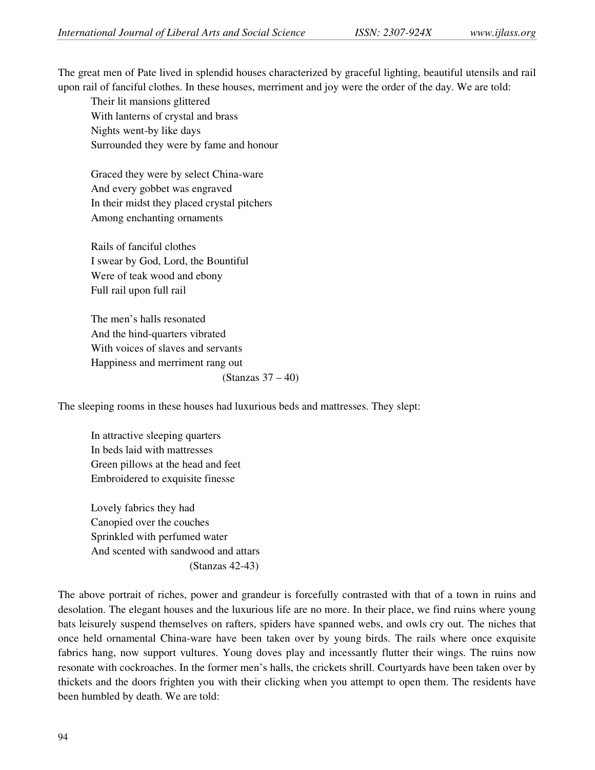The great men of Pate lived in splendid houses characterized by graceful lighting, beautiful utensils and rail upon rail of fanciful clothes. In these houses, merriment and joy were the order of the day. We are told:

 Their lit mansions glittered With lanterns of crystal and brass Nights went-by like days Surrounded they were by fame and honour

Graced they were by select China-ware And every gobbet was engraved In their midst they placed crystal pitchers Among enchanting ornaments

Rails of fanciful clothes I swear by God, Lord, the Bountiful Were of teak wood and ebony Full rail upon full rail

 The men's halls resonated And the hind-quarters vibrated With voices of slaves and servants Happiness and merriment rang out (Stanzas 37 – 40)

The sleeping rooms in these houses had luxurious beds and mattresses. They slept:

 In attractive sleeping quarters In beds laid with mattresses Green pillows at the head and feet Embroidered to exquisite finesse

 Lovely fabrics they had Canopied over the couches Sprinkled with perfumed water And scented with sandwood and attars (Stanzas 42-43)

The above portrait of riches, power and grandeur is forcefully contrasted with that of a town in ruins and desolation. The elegant houses and the luxurious life are no more. In their place, we find ruins where young bats leisurely suspend themselves on rafters, spiders have spanned webs, and owls cry out. The niches that once held ornamental China-ware have been taken over by young birds. The rails where once exquisite fabrics hang, now support vultures. Young doves play and incessantly flutter their wings. The ruins now resonate with cockroaches. In the former men's halls, the crickets shrill. Courtyards have been taken over by thickets and the doors frighten you with their clicking when you attempt to open them. The residents have been humbled by death. We are told: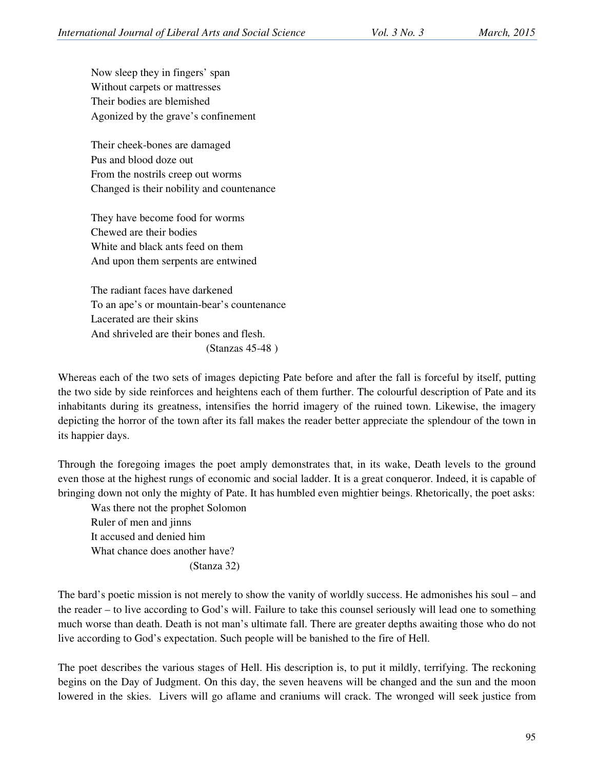Now sleep they in fingers' span Without carpets or mattresses Their bodies are blemished Agonized by the grave's confinement

 Their cheek-bones are damaged Pus and blood doze out From the nostrils creep out worms Changed is their nobility and countenance

They have become food for worms Chewed are their bodies White and black ants feed on them And upon them serpents are entwined

 The radiant faces have darkened To an ape's or mountain-bear's countenance Lacerated are their skins And shriveled are their bones and flesh. (Stanzas 45-48 )

Whereas each of the two sets of images depicting Pate before and after the fall is forceful by itself, putting the two side by side reinforces and heightens each of them further. The colourful description of Pate and its inhabitants during its greatness, intensifies the horrid imagery of the ruined town. Likewise, the imagery depicting the horror of the town after its fall makes the reader better appreciate the splendour of the town in its happier days.

Through the foregoing images the poet amply demonstrates that, in its wake, Death levels to the ground even those at the highest rungs of economic and social ladder. It is a great conqueror. Indeed, it is capable of bringing down not only the mighty of Pate. It has humbled even mightier beings. Rhetorically, the poet asks:

 Was there not the prophet Solomon Ruler of men and jinns It accused and denied him What chance does another have? (Stanza 32)

The bard's poetic mission is not merely to show the vanity of worldly success. He admonishes his soul – and the reader – to live according to God's will. Failure to take this counsel seriously will lead one to something much worse than death. Death is not man's ultimate fall. There are greater depths awaiting those who do not live according to God's expectation. Such people will be banished to the fire of Hell.

The poet describes the various stages of Hell. His description is, to put it mildly, terrifying. The reckoning begins on the Day of Judgment. On this day, the seven heavens will be changed and the sun and the moon lowered in the skies. Livers will go aflame and craniums will crack. The wronged will seek justice from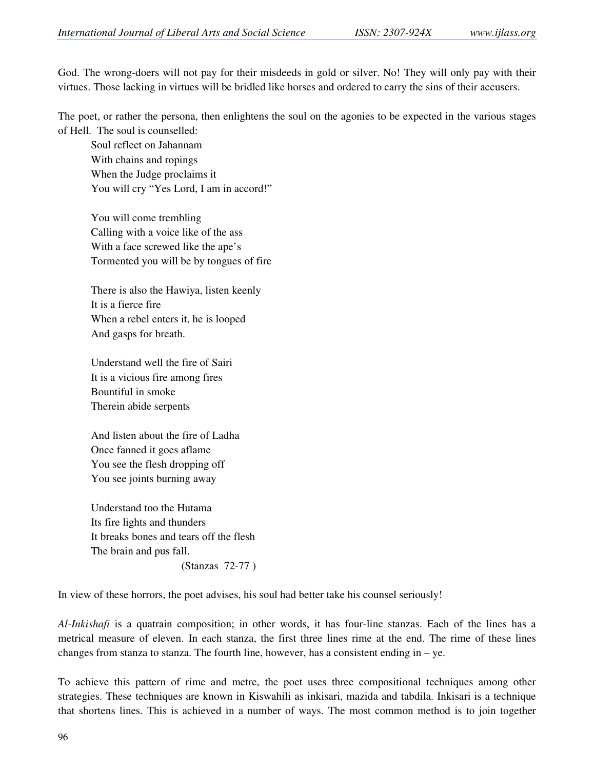God. The wrong-doers will not pay for their misdeeds in gold or silver. No! They will only pay with their virtues. Those lacking in virtues will be bridled like horses and ordered to carry the sins of their accusers.

The poet, or rather the persona, then enlightens the soul on the agonies to be expected in the various stages of Hell. The soul is counselled:

 Soul reflect on Jahannam With chains and ropings When the Judge proclaims it You will cry "Yes Lord, I am in accord!"

 You will come trembling Calling with a voice like of the ass With a face screwed like the ape's Tormented you will be by tongues of fire

 There is also the Hawiya, listen keenly It is a fierce fire When a rebel enters it, he is looped And gasps for breath.

 Understand well the fire of Sairi It is a vicious fire among fires Bountiful in smoke Therein abide serpents

 And listen about the fire of Ladha Once fanned it goes aflame You see the flesh dropping off You see joints burning away

 Understand too the Hutama Its fire lights and thunders It breaks bones and tears off the flesh The brain and pus fall. (Stanzas 72-77 )

In view of these horrors, the poet advises, his soul had better take his counsel seriously!

*Al-Inkishafi* is a quatrain composition; in other words, it has four-line stanzas. Each of the lines has a metrical measure of eleven. In each stanza, the first three lines rime at the end. The rime of these lines changes from stanza to stanza. The fourth line, however, has a consistent ending in – ye.

To achieve this pattern of rime and metre, the poet uses three compositional techniques among other strategies. These techniques are known in Kiswahili as inkisari, mazida and tabdila. Inkisari is a technique that shortens lines. This is achieved in a number of ways. The most common method is to join together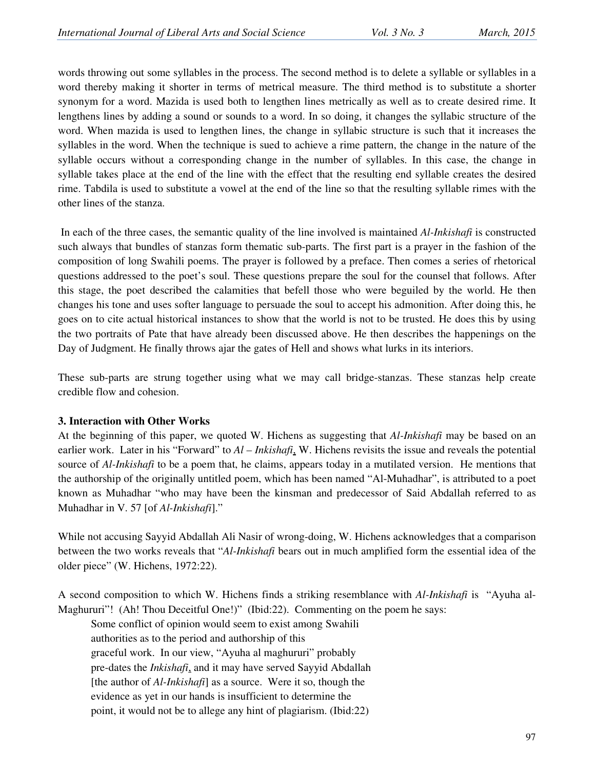words throwing out some syllables in the process. The second method is to delete a syllable or syllables in a word thereby making it shorter in terms of metrical measure. The third method is to substitute a shorter synonym for a word. Mazida is used both to lengthen lines metrically as well as to create desired rime. It lengthens lines by adding a sound or sounds to a word. In so doing, it changes the syllabic structure of the word. When mazida is used to lengthen lines, the change in syllabic structure is such that it increases the syllables in the word. When the technique is sued to achieve a rime pattern, the change in the nature of the syllable occurs without a corresponding change in the number of syllables. In this case, the change in syllable takes place at the end of the line with the effect that the resulting end syllable creates the desired rime. Tabdila is used to substitute a vowel at the end of the line so that the resulting syllable rimes with the other lines of the stanza.

 In each of the three cases, the semantic quality of the line involved is maintained *Al-Inkishafi* is constructed such always that bundles of stanzas form thematic sub-parts. The first part is a prayer in the fashion of the composition of long Swahili poems. The prayer is followed by a preface. Then comes a series of rhetorical questions addressed to the poet's soul. These questions prepare the soul for the counsel that follows. After this stage, the poet described the calamities that befell those who were beguiled by the world. He then changes his tone and uses softer language to persuade the soul to accept his admonition. After doing this, he goes on to cite actual historical instances to show that the world is not to be trusted. He does this by using the two portraits of Pate that have already been discussed above. He then describes the happenings on the Day of Judgment. He finally throws ajar the gates of Hell and shows what lurks in its interiors.

These sub-parts are strung together using what we may call bridge-stanzas. These stanzas help create credible flow and cohesion.

#### **3. Interaction with Other Works**

At the beginning of this paper, we quoted W. Hichens as suggesting that *Al-Inkishafi* may be based on an earlier work. Later in his "Forward" to *Al – Inkishafi*, W. Hichens revisits the issue and reveals the potential source of *Al-Inkishafi* to be a poem that, he claims, appears today in a mutilated version. He mentions that the authorship of the originally untitled poem, which has been named "Al-Muhadhar", is attributed to a poet known as Muhadhar "who may have been the kinsman and predecessor of Said Abdallah referred to as Muhadhar in V. 57 [of *Al-Inkishafi*]."

While not accusing Sayyid Abdallah Ali Nasir of wrong-doing, W. Hichens acknowledges that a comparison between the two works reveals that "*Al-Inkishafi* bears out in much amplified form the essential idea of the older piece" (W. Hichens, 1972:22).

A second composition to which W. Hichens finds a striking resemblance with *Al-Inkishafi* is "Ayuha al-Maghururi"! (Ah! Thou Deceitful One!)" (Ibid:22). Commenting on the poem he says:

 Some conflict of opinion would seem to exist among Swahili authorities as to the period and authorship of this graceful work. In our view, "Ayuha al maghururi" probably pre-dates the *Inkishafi*, and it may have served Sayyid Abdallah [the author of *Al-Inkishafi*] as a source. Were it so, though the evidence as yet in our hands is insufficient to determine the point, it would not be to allege any hint of plagiarism. (Ibid:22)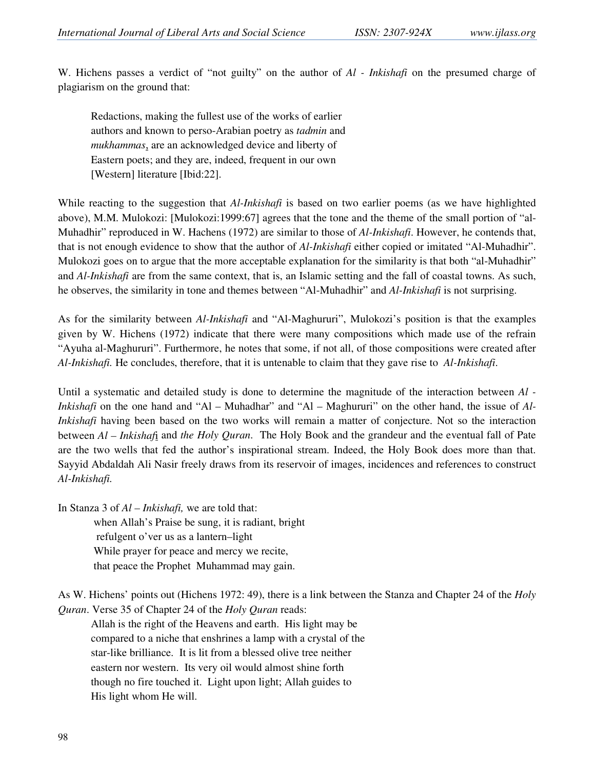W. Hichens passes a verdict of "not guilty" on the author of *Al - Inkishafi* on the presumed charge of plagiarism on the ground that:

 Redactions, making the fullest use of the works of earlier authors and known to perso-Arabian poetry as *tadmin* and *mukhammas*, are an acknowledged device and liberty of Eastern poets; and they are, indeed, frequent in our own [Western] literature [Ibid:22].

While reacting to the suggestion that *Al-Inkishafi* is based on two earlier poems (as we have highlighted above), M.M. Mulokozi: [Mulokozi:1999:67] agrees that the tone and the theme of the small portion of "al-Muhadhir" reproduced in W. Hachens (1972) are similar to those of *Al-Inkishafi*. However, he contends that, that is not enough evidence to show that the author of *Al-Inkishafi* either copied or imitated "Al-Muhadhir". Mulokozi goes on to argue that the more acceptable explanation for the similarity is that both "al-Muhadhir" and *Al-Inkishafi* are from the same context, that is, an Islamic setting and the fall of coastal towns. As such, he observes, the similarity in tone and themes between "Al-Muhadhir" and *Al-Inkishafi* is not surprising.

As for the similarity between *Al-Inkishafi* and "Al-Maghururi", Mulokozi's position is that the examples given by W. Hichens (1972) indicate that there were many compositions which made use of the refrain "Ayuha al-Maghururi". Furthermore, he notes that some, if not all, of those compositions were created after *Al-Inkishafi.* He concludes, therefore, that it is untenable to claim that they gave rise to *Al-Inkishafi*.

Until a systematic and detailed study is done to determine the magnitude of the interaction between *Al - Inkishafi* on the one hand and "Al – Muhadhar" and "Al – Maghururi" on the other hand, the issue of Al-*Inkishafi* having been based on the two works will remain a matter of conjecture. Not so the interaction between *Al – Inkishaf*i and *the Holy Quran*. The Holy Book and the grandeur and the eventual fall of Pate are the two wells that fed the author's inspirational stream. Indeed, the Holy Book does more than that. Sayyid Abdaldah Ali Nasir freely draws from its reservoir of images, incidences and references to construct *Al-Inkishafi.* 

In Stanza 3 of *Al – Inkishafi,* we are told that: when Allah's Praise be sung, it is radiant, bright refulgent o'ver us as a lantern–light While prayer for peace and mercy we recite, that peace the Prophet Muhammad may gain.

As W. Hichens' points out (Hichens 1972: 49), there is a link between the Stanza and Chapter 24 of the *Holy Quran*. Verse 35 of Chapter 24 of the *Holy Quran* reads:

 Allah is the right of the Heavens and earth. His light may be compared to a niche that enshrines a lamp with a crystal of the star-like brilliance. It is lit from a blessed olive tree neither eastern nor western. Its very oil would almost shine forth though no fire touched it. Light upon light; Allah guides to His light whom He will.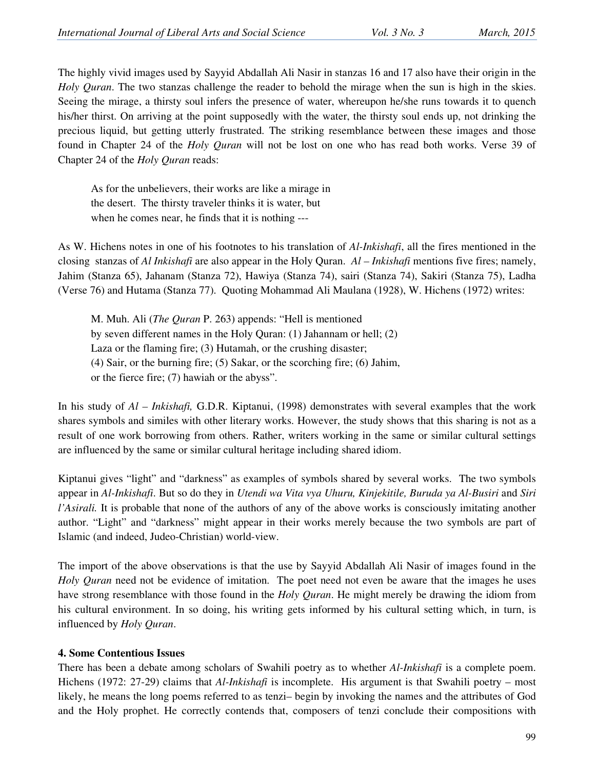The highly vivid images used by Sayyid Abdallah Ali Nasir in stanzas 16 and 17 also have their origin in the *Holy Quran*. The two stanzas challenge the reader to behold the mirage when the sun is high in the skies. Seeing the mirage, a thirsty soul infers the presence of water, whereupon he/she runs towards it to quench his/her thirst. On arriving at the point supposedly with the water, the thirsty soul ends up, not drinking the precious liquid, but getting utterly frustrated. The striking resemblance between these images and those found in Chapter 24 of the *Holy Quran* will not be lost on one who has read both works. Verse 39 of Chapter 24 of the *Holy Quran* reads:

 As for the unbelievers, their works are like a mirage in the desert. The thirsty traveler thinks it is water, but when he comes near, he finds that it is nothing ---

As W. Hichens notes in one of his footnotes to his translation of *Al-Inkishafi*, all the fires mentioned in the closing stanzas of *Al Inkishafi* are also appear in the Holy Quran. *Al – Inkishafi* mentions five fires; namely, Jahim (Stanza 65), Jahanam (Stanza 72), Hawiya (Stanza 74), sairi (Stanza 74), Sakiri (Stanza 75), Ladha (Verse 76) and Hutama (Stanza 77). Quoting Mohammad Ali Maulana (1928), W. Hichens (1972) writes:

 M. Muh. Ali (*The Quran* P. 263) appends: "Hell is mentioned by seven different names in the Holy Quran: (1) Jahannam or hell; (2) Laza or the flaming fire; (3) Hutamah, or the crushing disaster; (4) Sair, or the burning fire; (5) Sakar, or the scorching fire; (6) Jahim, or the fierce fire; (7) hawiah or the abyss".

In his study of *Al – Inkishafi,* G.D.R. Kiptanui, (1998) demonstrates with several examples that the work shares symbols and similes with other literary works. However, the study shows that this sharing is not as a result of one work borrowing from others. Rather, writers working in the same or similar cultural settings are influenced by the same or similar cultural heritage including shared idiom.

Kiptanui gives "light" and "darkness" as examples of symbols shared by several works. The two symbols appear in *Al-Inkishafi*. But so do they in *Utendi wa Vita vya Uhuru, Kinjekitile, Buruda ya Al-Busiri* and *Siri l'Asirali.* It is probable that none of the authors of any of the above works is consciously imitating another author. "Light" and "darkness" might appear in their works merely because the two symbols are part of Islamic (and indeed, Judeo-Christian) world-view.

The import of the above observations is that the use by Sayyid Abdallah Ali Nasir of images found in the *Holy Quran* need not be evidence of imitation. The poet need not even be aware that the images he uses have strong resemblance with those found in the *Holy Quran*. He might merely be drawing the idiom from his cultural environment. In so doing, his writing gets informed by his cultural setting which, in turn, is influenced by *Holy Quran*.

## **4. Some Contentious Issues**

There has been a debate among scholars of Swahili poetry as to whether *Al-Inkishafi* is a complete poem. Hichens (1972: 27-29) claims that *Al-Inkishafi* is incomplete. His argument is that Swahili poetry – most likely, he means the long poems referred to as tenzi– begin by invoking the names and the attributes of God and the Holy prophet. He correctly contends that, composers of tenzi conclude their compositions with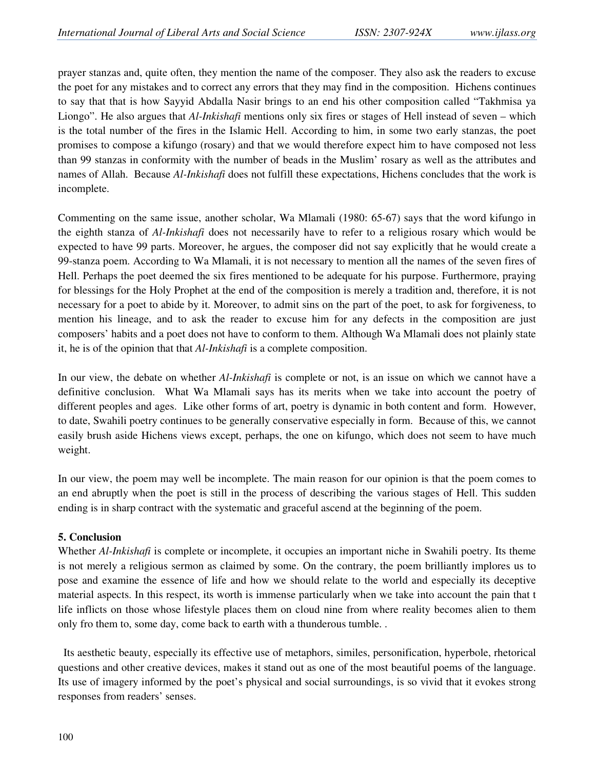prayer stanzas and, quite often, they mention the name of the composer. They also ask the readers to excuse the poet for any mistakes and to correct any errors that they may find in the composition. Hichens continues to say that that is how Sayyid Abdalla Nasir brings to an end his other composition called "Takhmisa ya Liongo". He also argues that *Al-Inkishafi* mentions only six fires or stages of Hell instead of seven – which is the total number of the fires in the Islamic Hell. According to him, in some two early stanzas, the poet promises to compose a kifungo (rosary) and that we would therefore expect him to have composed not less than 99 stanzas in conformity with the number of beads in the Muslim' rosary as well as the attributes and names of Allah. Because *Al-Inkishafi* does not fulfill these expectations, Hichens concludes that the work is incomplete.

Commenting on the same issue, another scholar, Wa Mlamali (1980: 65-67) says that the word kifungo in the eighth stanza of *Al-Inkishafi* does not necessarily have to refer to a religious rosary which would be expected to have 99 parts. Moreover, he argues, the composer did not say explicitly that he would create a 99-stanza poem. According to Wa Mlamali, it is not necessary to mention all the names of the seven fires of Hell. Perhaps the poet deemed the six fires mentioned to be adequate for his purpose. Furthermore, praying for blessings for the Holy Prophet at the end of the composition is merely a tradition and, therefore, it is not necessary for a poet to abide by it. Moreover, to admit sins on the part of the poet, to ask for forgiveness, to mention his lineage, and to ask the reader to excuse him for any defects in the composition are just composers' habits and a poet does not have to conform to them. Although Wa Mlamali does not plainly state it, he is of the opinion that that *Al-Inkishafi* is a complete composition.

In our view, the debate on whether *Al-Inkishafi* is complete or not, is an issue on which we cannot have a definitive conclusion. What Wa Mlamali says has its merits when we take into account the poetry of different peoples and ages. Like other forms of art, poetry is dynamic in both content and form. However, to date, Swahili poetry continues to be generally conservative especially in form. Because of this, we cannot easily brush aside Hichens views except, perhaps, the one on kifungo, which does not seem to have much weight.

In our view, the poem may well be incomplete. The main reason for our opinion is that the poem comes to an end abruptly when the poet is still in the process of describing the various stages of Hell. This sudden ending is in sharp contract with the systematic and graceful ascend at the beginning of the poem.

#### **5. Conclusion**

Whether *Al-Inkishafi* is complete or incomplete, it occupies an important niche in Swahili poetry. Its theme is not merely a religious sermon as claimed by some. On the contrary, the poem brilliantly implores us to pose and examine the essence of life and how we should relate to the world and especially its deceptive material aspects. In this respect, its worth is immense particularly when we take into account the pain that t life inflicts on those whose lifestyle places them on cloud nine from where reality becomes alien to them only fro them to, some day, come back to earth with a thunderous tumble. .

 Its aesthetic beauty, especially its effective use of metaphors, similes, personification, hyperbole, rhetorical questions and other creative devices, makes it stand out as one of the most beautiful poems of the language. Its use of imagery informed by the poet's physical and social surroundings, is so vivid that it evokes strong responses from readers' senses.